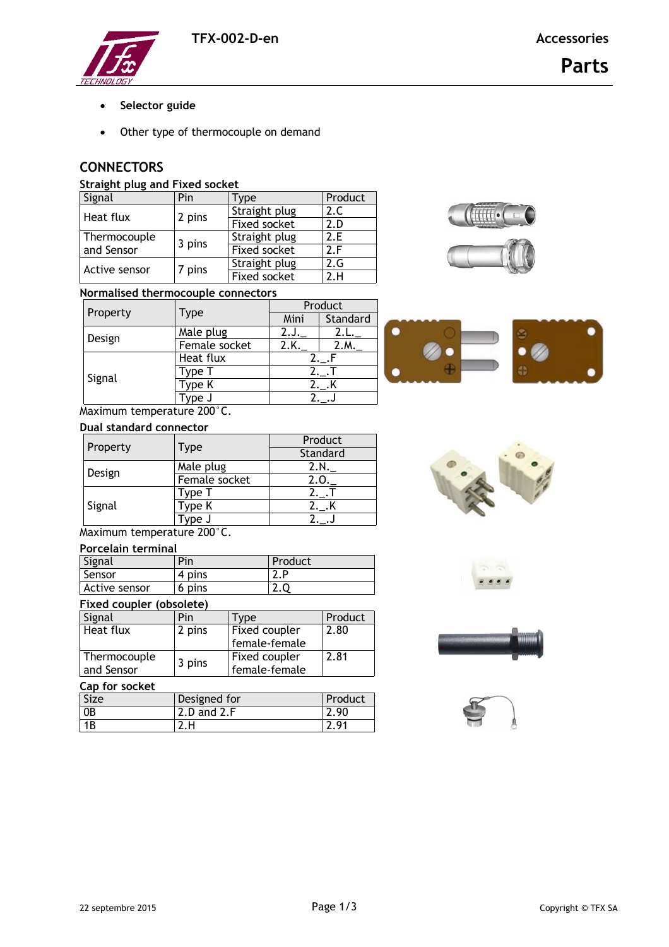

- **•** Selector guide
- Other type of thermocouple on demand

# **CONNECTORS**

## **Straight plug and Fixed socket**

| Signal        | Pin    | Type          | Product |
|---------------|--------|---------------|---------|
| Heat flux     | 2 pins | Straight plug | 2.C     |
|               |        | Fixed socket  | 2.D     |
| Thermocouple  | 3 pins | Straight plug | 2.F     |
| and Sensor    |        | Fixed socket  | 2.5     |
| Active sensor |        | Straight plug | 2.G     |
|               | 7 pins | Fixed socket  | 2.H     |



## **Normalised thermocouple connectors**

| Property |               | Product |          |
|----------|---------------|---------|----------|
|          | <b>Type</b>   | Mini    | Standard |
| Design   | Male plug     |         |          |
|          | Female socket | 2.K     | 2.M      |
| Signal   | Heat flux     |         |          |
|          | Type 1        | 2. .1   |          |
|          | Type K        | 2._.K   |          |
|          | ype J         |         |          |

Maximum temperature 200°C.

#### **Dual standard connector**

| Property |                   | Product  |  |
|----------|-------------------|----------|--|
|          | Type              | Standard |  |
| Design   | Male plug         | 2.N.     |  |
|          | Female socket     | 2.0.     |  |
| Signal   | 「ype <sup>-</sup> |          |  |
|          | Type K            |          |  |
|          | /ne J             |          |  |

Maximum temperature 200°C.

## **Porcelain terminal**

| Signal        | Pin    | Product     |
|---------------|--------|-------------|
| Sensor        | 4 pins | <u>.</u>    |
| Active sensor | 6 pins | <u>. . </u> |

#### **Fixed coupler (obsolete)**

| Signal       | Pin    | Type          | Product |
|--------------|--------|---------------|---------|
| Heat flux    | 2 pins | Fixed coupler | 2.80    |
|              |        | female-female |         |
| Thermocouple | 3 pins | Fixed coupler | 2.81    |
| and Sensor   |        | female-female |         |

### **Cap for socket**

| Size           | Designed for    | Product      |
|----------------|-----------------|--------------|
| 0 <sub>B</sub> | $2.D$ and $2.F$ | $\angle .90$ |
| 1B             |                 | - Q1         |







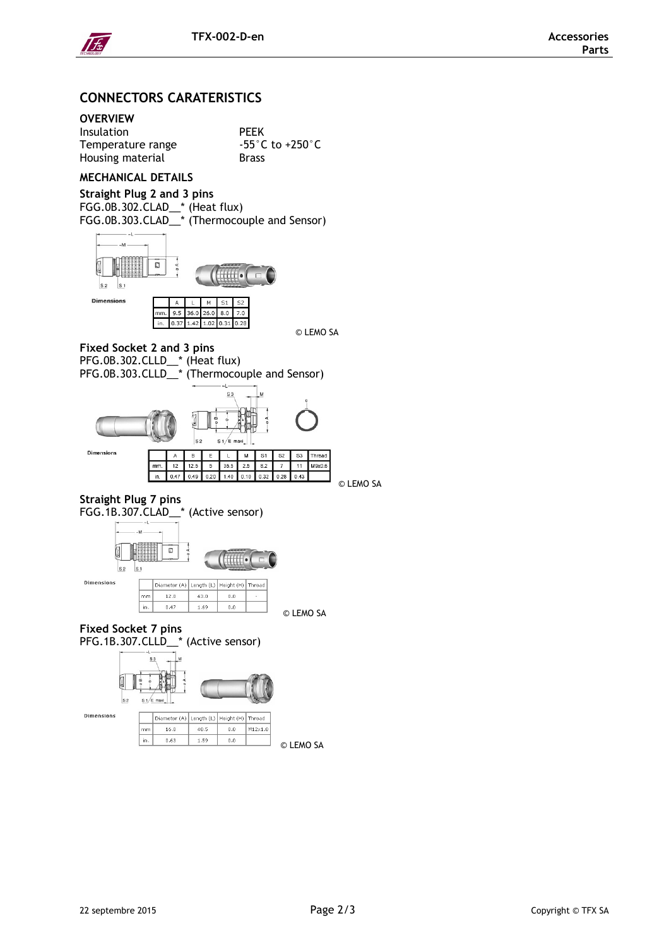

# **CONNECTORS CARATERISTICS**

# **OVERVIEW**

| <b>PEEK</b>     |
|-----------------|
| $-55^{\circ}$ ( |
| <b>Brass</b>    |
|                 |

## **MECHANICAL DETAILS**

**Straight Plug 2 and 3 pins** FGG.0B.302.CLAD\_\_\* (Heat flux) FGG.0B.303.CLAD\_\_\* (Thermocouple and Sensor)



© LEMO SA

 $^{\circ}$ C to +250 $^{\circ}$ C

#### **Fixed Socket 2 and 3 pins**

PFG.0B.302.CLLD\_\_\* (Heat flux)

PFG.0B.303.CLLD\_\_\* (Thermocouple and Sensor)



#### **Straight Plug 7 pins** FGG.1B.307.CLAD\_\_\* (Active sensor)



© LEMO SA

# **Fixed Socket 7 pins**